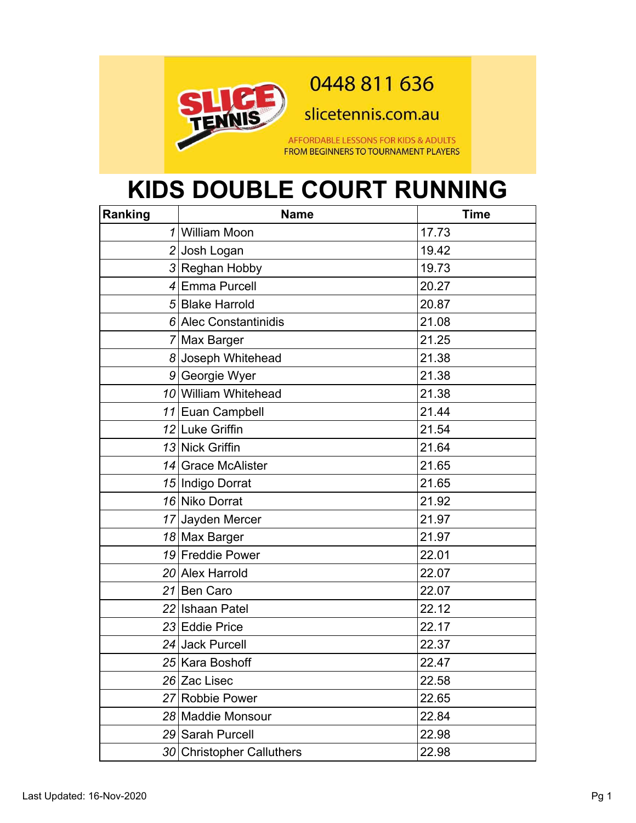

0448 811 636

slicetennis.com.au

AFFORDABLE LESSONS FOR KIDS & ADULTS FROM BEGINNERS TO TOURNAMENT PLAYERS

## **KIDS DOUBLE COURT RUNNING**

| Ranking | <b>Name</b>               | <b>Time</b> |
|---------|---------------------------|-------------|
|         | 1 William Moon            | 17.73       |
|         | 2 Josh Logan              | 19.42       |
|         | 3 Reghan Hobby            | 19.73       |
|         | 4 Emma Purcell            | 20.27       |
|         | 5 Blake Harrold           | 20.87       |
|         | 6 Alec Constantinidis     | 21.08       |
|         | 7 Max Barger              | 21.25       |
|         | 8 Joseph Whitehead        | 21.38       |
|         | 9 Georgie Wyer            | 21.38       |
|         | 10 William Whitehead      | 21.38       |
|         | 11 Euan Campbell          | 21.44       |
|         | 12 Luke Griffin           | 21.54       |
|         | 13 Nick Griffin           | 21.64       |
|         | 14 Grace McAlister        | 21.65       |
|         | 15 Indigo Dorrat          | 21.65       |
|         | 16 Niko Dorrat            | 21.92       |
|         | 17 Jayden Mercer          | 21.97       |
|         | 18 Max Barger             | 21.97       |
|         | 19 Freddie Power          | 22.01       |
|         | 20 Alex Harrold           | 22.07       |
|         | 21 Ben Caro               | 22.07       |
|         | 22 Ishaan Patel           | 22.12       |
|         | 23 Eddie Price            | 22.17       |
|         | 24 Jack Purcell           | 22.37       |
|         | 25 Kara Boshoff           | 22.47       |
|         | 26 Zac Lisec              | 22.58       |
|         | 27 Robbie Power           | 22.65       |
|         | 28 Maddie Monsour         | 22.84       |
|         | 29 Sarah Purcell          | 22.98       |
|         | 30 Christopher Calluthers | 22.98       |